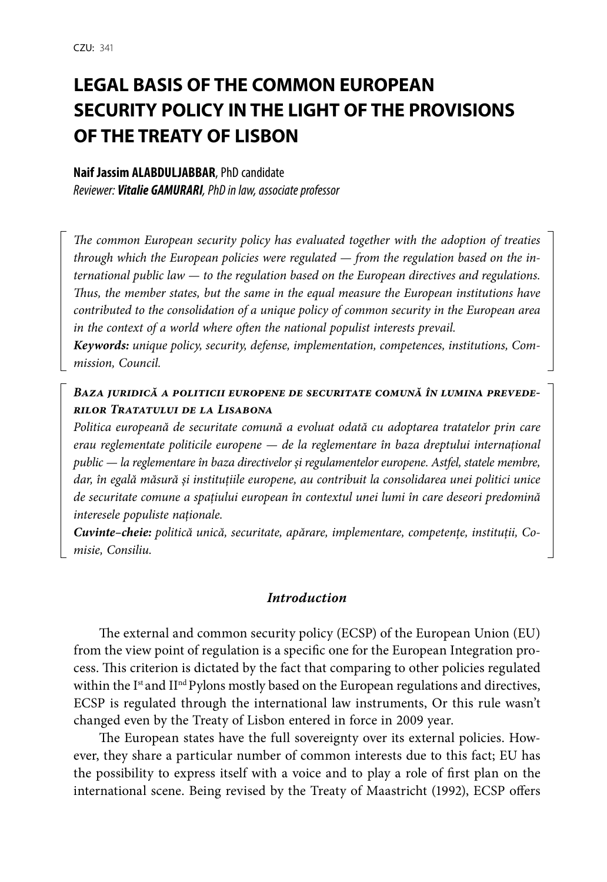# **LEGAL BASIS OF THE COMMON EUROPEAN SECURITY POLICY IN THE LIGHT OF THE PROVISIONS OF THE TREATY OF LISBON**

#### **Naif Jassim ALABDULJABBAR**, PhD candidate

*Reviewer: Vitalie GAMURARI, PhD in law, associate professor*

*The common European security policy has evaluated together with the adoption of treaties through which the European policies were regulated — from the regulation based on the international public law — to the regulation based on the European directives and regulations. Thus, the member states, but the same in the equal measure the European institutions have contributed to the consolidation of a unique policy of common security in the European area in the context of a world where often the national populist interests prevail.*

*Keywords: unique policy, security, defense, implementation, competences, institutions, Commission, Council.*

## *Baza juridică a politicii europene de securitate comună în lumina prevederilor Tratatului de la Lisabona*

*Politica europeană de securitate comună a evoluat odată cu adoptarea tratatelor prin care erau reglementate politicile europene — de la reglementare în baza dreptului internațional public — la reglementare în baza directivelor și regulamentelor europene. Astfel, statele membre, dar, în egală măsură și instituțiile europene, au contribuit la consolidarea unei politici unice de securitate comune a spațiului european în contextul unei lumi în care deseori predomină interesele populiste naționale.*

*Cuvinte–cheie: politică unică, securitate, apărare, implementare, competențe, instituții, Comisie, Consiliu.*

#### *Introduction*

The external and common security policy (ECSP) of the European Union (EU) from the view point of regulation is a specific one for the European Integration process. This criterion is dictated by the fact that comparing to other policies regulated within the Ist and  $II<sup>nd</sup>$  Pylons mostly based on the European regulations and directives, ECSP is regulated through the international law instruments, Or this rule wasn't changed even by the Treaty of Lisbon entered in force in 2009 year.

The European states have the full sovereignty over its external policies. However, they share a particular number of common interests due to this fact; EU has the possibility to express itself with a voice and to play a role of first plan on the international scene. Being revised by the Treaty of Maastricht (1992), ECSP offers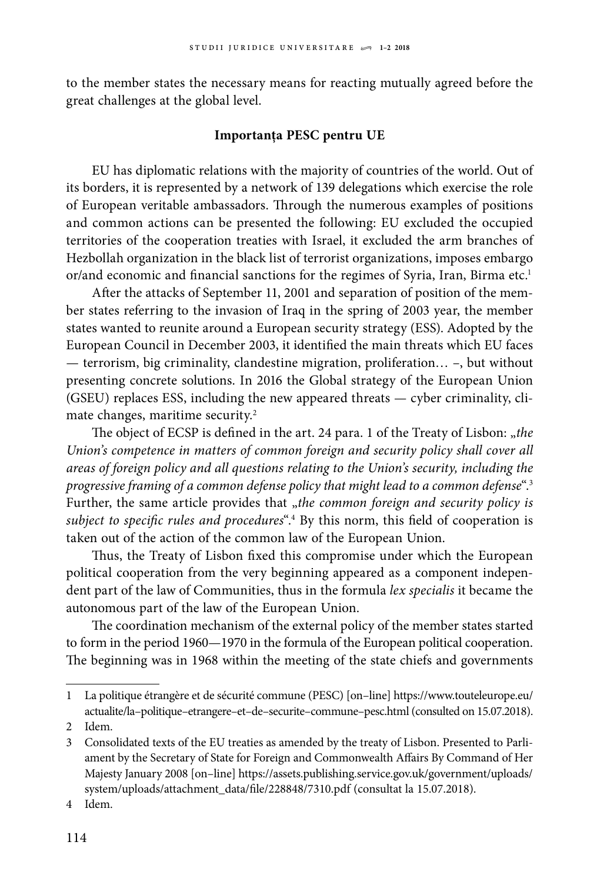to the member states the necessary means for reacting mutually agreed before the great challenges at the global level.

#### **Importanța PESC pentru UE**

EU has diplomatic relations with the majority of countries of the world. Out of its borders, it is represented by a network of 139 delegations which exercise the role of European veritable ambassadors. Through the numerous examples of positions and common actions can be presented the following: EU excluded the occupied territories of the cooperation treaties with Israel, it excluded the arm branches of Hezbollah organization in the black list of terrorist organizations, imposes embargo or/and economic and financial sanctions for the regimes of Syria, Iran, Birma etc.<sup>1</sup>

After the attacks of September 11, 2001 and separation of position of the member states referring to the invasion of Iraq in the spring of 2003 year, the member states wanted to reunite around a European security strategy (ESS). Adopted by the European Council in December 2003, it identified the main threats which EU faces — terrorism, big criminality, clandestine migration, proliferation… –, but without presenting concrete solutions. In 2016 the Global strategy of the European Union (GSEU) replaces ESS, including the new appeared threats — cyber criminality, climate changes, maritime security.<sup>2</sup>

The object of ECSP is defined in the art. 24 para. 1 of the Treaty of Lisbon: "the *Union's competence in matters of common foreign and security policy shall cover all areas of foreign policy and all questions relating to the Union's security, including the progressive framing of a common defense policy that might lead to a common defense*".3 Further, the same article provides that "the common foreign and security policy is *subject to specific rules and procedures*".4 By this norm, this field of cooperation is taken out of the action of the common law of the European Union.

Thus, the Treaty of Lisbon fixed this compromise under which the European political cooperation from the very beginning appeared as a component independent part of the law of Communities, thus in the formula *lex specialis* it became the autonomous part of the law of the European Union.

The coordination mechanism of the external policy of the member states started to form in the period 1960—1970 in the formula of the European political cooperation. The beginning was in 1968 within the meeting of the state chiefs and governments

<sup>1</sup> La politique étrangère et de sécurité commune (PESC) [on–line] [https://www.touteleurope.eu/](https://www.touteleurope.eu/actualite/la-politique-etrangere-et-de-securite-commune-pesc.html) [actualite/la–politique–etrangere–et–de–securite–commune–pesc.html](https://www.touteleurope.eu/actualite/la-politique-etrangere-et-de-securite-commune-pesc.html) (consulted on 15.07.2018).

<sup>2</sup> Idem.

<sup>3</sup> Consolidated texts of the EU treaties as amended by the treaty of Lisbon. Presented to Parliament by the Secretary of State for Foreign and Commonwealth Affairs By Command of Her Majesty January 2008 [on–line] [https://assets.publishing.service.gov.uk/government/uploads/](https://assets.publishing.service.gov.uk/government/uploads/system/uploads/attachment_data/file/228848/7310.pdf) [system/uploads/attachment\\_data/file/228848/7310.pdf](https://assets.publishing.service.gov.uk/government/uploads/system/uploads/attachment_data/file/228848/7310.pdf) (consultat la 15.07.2018).

<sup>4</sup> Idem.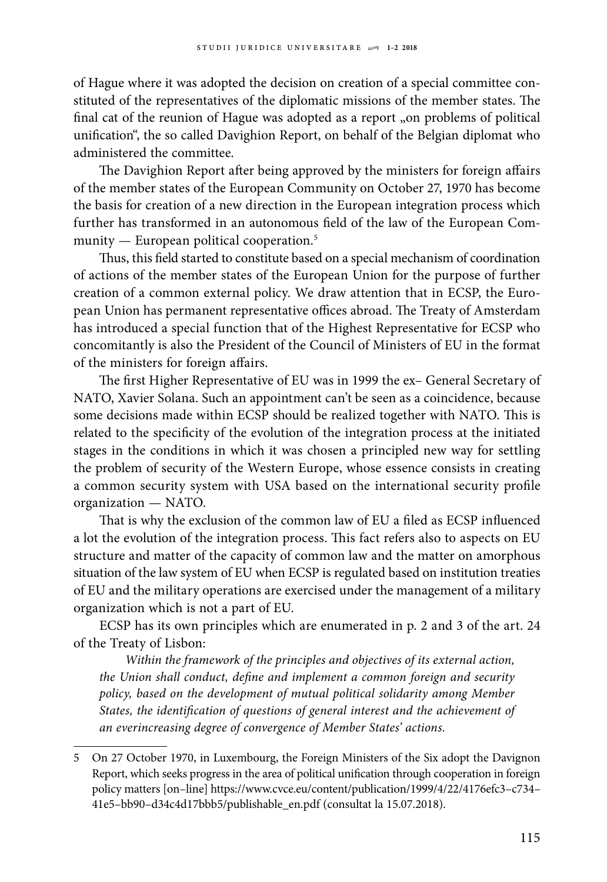of Hague where it was adopted the decision on creation of a special committee constituted of the representatives of the diplomatic missions of the member states. The final cat of the reunion of Hague was adopted as a report "on problems of political unification", the so called Davighion Report, on behalf of the Belgian diplomat who administered the committee.

The Davighion Report after being approved by the ministers for foreign affairs of the member states of the European Community on October 27, 1970 has become the basis for creation of a new direction in the European integration process which further has transformed in an autonomous field of the law of the European Community — European political cooperation.<sup>5</sup>

Thus, this field started to constitute based on a special mechanism of coordination of actions of the member states of the European Union for the purpose of further creation of a common external policy. We draw attention that in ECSP, the European Union has permanent representative offices abroad. The Treaty of Amsterdam has introduced a special function that of the Highest Representative for ECSP who concomitantly is also the President of the Council of Ministers of EU in the format of the ministers for foreign affairs.

The first Higher Representative of EU was in 1999 the ex– General Secretary of NATO, Xavier Solana. Such an appointment can't be seen as a coincidence, because some decisions made within ECSP should be realized together with NATO. This is related to the specificity of the evolution of the integration process at the initiated stages in the conditions in which it was chosen a principled new way for settling the problem of security of the Western Europe, whose essence consists in creating a common security system with USA based on the international security profile organization — NATO.

That is why the exclusion of the common law of EU a filed as ECSP influenced a lot the evolution of the integration process. This fact refers also to aspects on EU structure and matter of the capacity of common law and the matter on amorphous situation of the law system of EU when ECSP is regulated based on institution treaties of EU and the military operations are exercised under the management of a military organization which is not a part of EU.

ECSP has its own principles which are enumerated in p. 2 and 3 of the art. 24 of the Treaty of Lisbon:

*Within the framework of the principles and objectives of its external action, the Union shall conduct, define and implement a common foreign and security policy, based on the development of mutual political solidarity among Member States, the identification of questions of general interest and the achievement of an everincreasing degree of convergence of Member States' actions.*

<sup>5</sup> On 27 October 1970, in Luxembourg, the Foreign Ministers of the Six adopt the Davignon Report, which seeks progress in the area of political unification through cooperation in foreign policy matters [on–line] [https://www.cvce.eu/content/publication/1999/4/22/4176efc3–c734–](https://www.cvce.eu/content/publication/1999/4/22/4176efc3-c734-41e5-bb90-d34c4d17bbb5/publishable_en.pdf) [41e5–bb90–d34c4d17bbb5/publishable\\_en.pdf](https://www.cvce.eu/content/publication/1999/4/22/4176efc3-c734-41e5-bb90-d34c4d17bbb5/publishable_en.pdf) (consultat la 15.07.2018).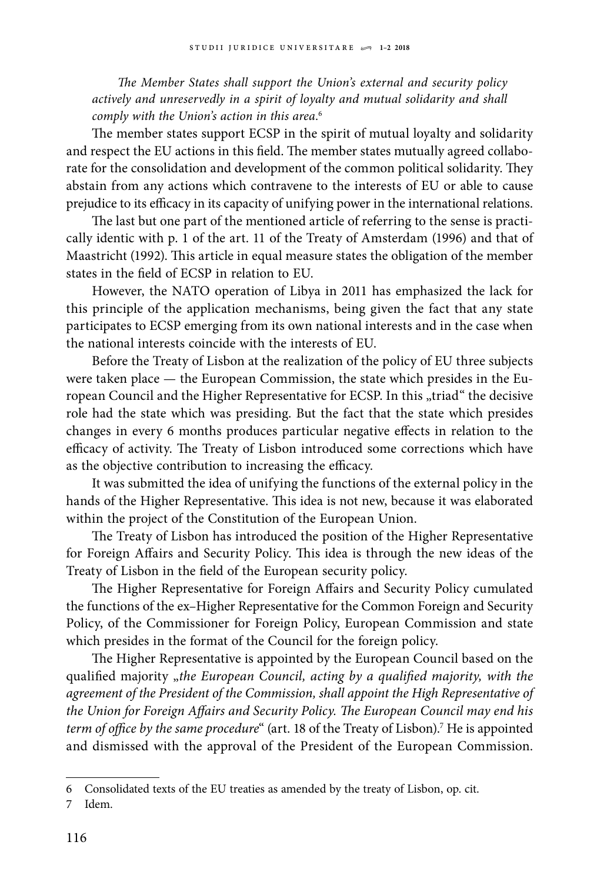*The Member States shall support the Union's external and security policy actively and unreservedly in a spirit of loyalty and mutual solidarity and shall comply with the Union's action in this area*. 6

The member states support ECSP in the spirit of mutual loyalty and solidarity and respect the EU actions in this field. The member states mutually agreed collaborate for the consolidation and development of the common political solidarity. They abstain from any actions which contravene to the interests of EU or able to cause prejudice to its efficacy in its capacity of unifying power in the international relations.

The last but one part of the mentioned article of referring to the sense is practically identic with p. 1 of the art. 11 of the Treaty of Amsterdam (1996) and that of Maastricht (1992). This article in equal measure states the obligation of the member states in the field of ECSP in relation to EU.

However, the NATO operation of Libya in 2011 has emphasized the lack for this principle of the application mechanisms, being given the fact that any state participates to ECSP emerging from its own national interests and in the case when the national interests coincide with the interests of EU.

Before the Treaty of Lisbon at the realization of the policy of EU three subjects were taken place — the European Commission, the state which presides in the European Council and the Higher Representative for ECSP. In this "triad" the decisive role had the state which was presiding. But the fact that the state which presides changes in every 6 months produces particular negative effects in relation to the efficacy of activity. The Treaty of Lisbon introduced some corrections which have as the objective contribution to increasing the efficacy.

It was submitted the idea of unifying the functions of the external policy in the hands of the Higher Representative. This idea is not new, because it was elaborated within the project of the Constitution of the European Union.

The Treaty of Lisbon has introduced the position of the Higher Representative for Foreign Affairs and Security Policy. This idea is through the new ideas of the Treaty of Lisbon in the field of the European security policy.

The Higher Representative for Foreign Affairs and Security Policy cumulated the functions of the ex–Higher Representative for the Common Foreign and Security Policy, of the Commissioner for Foreign Policy, European Commission and state which presides in the format of the Council for the foreign policy.

The Higher Representative is appointed by the European Council based on the qualified majority "*the European Council, acting by a qualified majority, with the agreement of the President of the Commission, shall appoint the High Representative of the Union for Foreign Affairs and Security Policy. The European Council may end his term of office by the same procedure*" (art. 18 of the Treaty of Lisbon).7 He is appointed and dismissed with the approval of the President of the European Commission.

<sup>6</sup> Consolidated texts of the EU treaties as amended by the treaty of Lisbon, op. cit.

<sup>7</sup> Idem.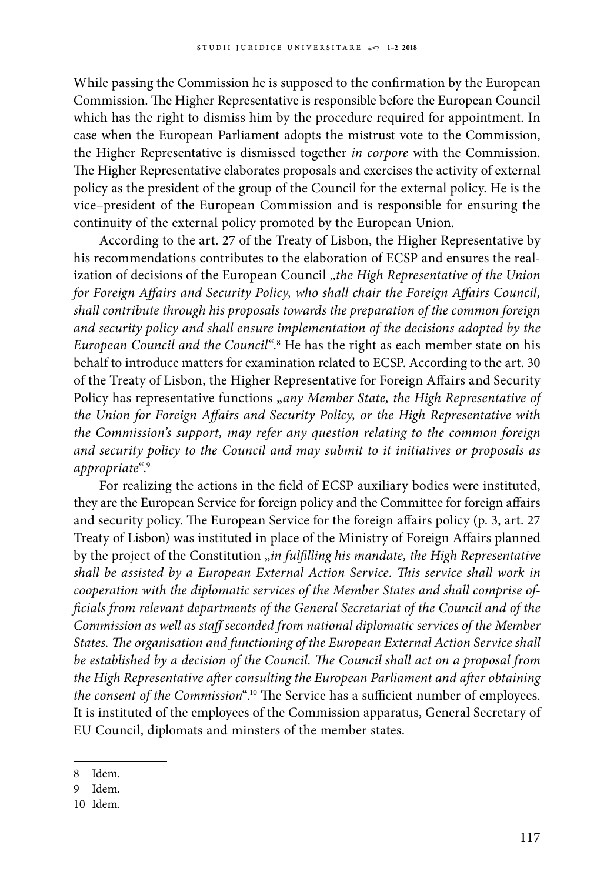While passing the Commission he is supposed to the confirmation by the European Commission. The Higher Representative is responsible before the European Council which has the right to dismiss him by the procedure required for appointment. In case when the European Parliament adopts the mistrust vote to the Commission, the Higher Representative is dismissed together *in corpore* with the Commission. The Higher Representative elaborates proposals and exercises the activity of external policy as the president of the group of the Council for the external policy. He is the vice–president of the European Commission and is responsible for ensuring the continuity of the external policy promoted by the European Union.

According to the art. 27 of the Treaty of Lisbon, the Higher Representative by his recommendations contributes to the elaboration of ECSP and ensures the realization of decisions of the European Council "*the High Representative of the Union for Foreign Affairs and Security Policy, who shall chair the Foreign Affairs Council, shall contribute through his proposals towards the preparation of the common foreign and security policy and shall ensure implementation of the decisions adopted by the European Council and the Council*".8 He has the right as each member state on his behalf to introduce matters for examination related to ECSP. According to the art. 30 of the Treaty of Lisbon, the Higher Representative for Foreign Affairs and Security Policy has representative functions "*any Member State, the High Representative of the Union for Foreign Affairs and Security Policy, or the High Representative with the Commission's support, may refer any question relating to the common foreign and security policy to the Council and may submit to it initiatives or proposals as appropriate*".9

For realizing the actions in the field of ECSP auxiliary bodies were instituted, they are the European Service for foreign policy and the Committee for foreign affairs and security policy. The European Service for the foreign affairs policy (p. 3, art. 27 Treaty of Lisbon) was instituted in place of the Ministry of Foreign Affairs planned by the project of the Constitution "*in fulfilling his mandate*, the High Representative *shall be assisted by a European External Action Service. This service shall work in cooperation with the diplomatic services of the Member States and shall comprise officials from relevant departments of the General Secretariat of the Council and of the Commission as well as staff seconded from national diplomatic services of the Member States. The organisation and functioning of the European External Action Service shall be established by a decision of the Council. The Council shall act on a proposal from the High Representative after consulting the European Parliament and after obtaining the consent of the Commission*".10 The Service has a sufficient number of employees. It is instituted of the employees of the Commission apparatus, General Secretary of EU Council, diplomats and minsters of the member states.

<sup>8</sup> Idem.

<sup>9</sup> Idem.

<sup>10</sup> Idem.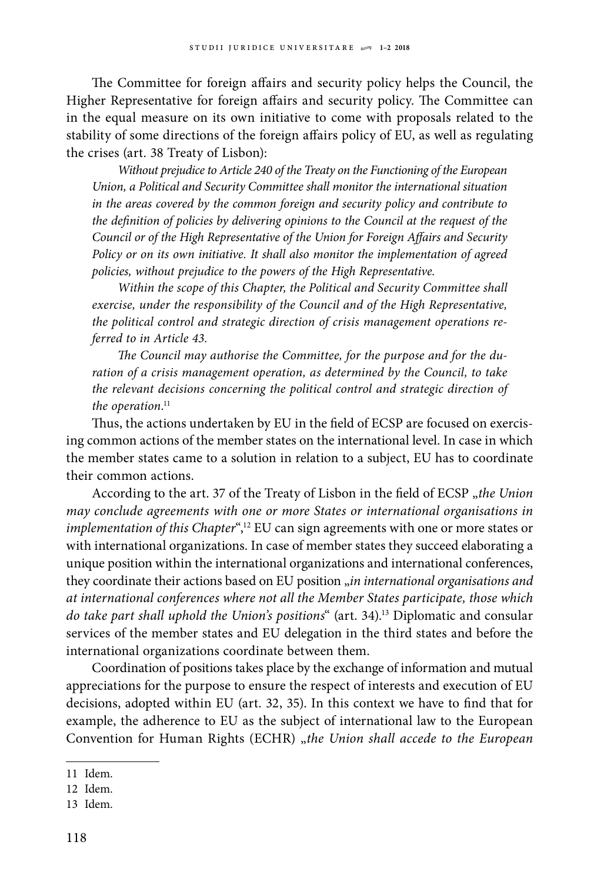The Committee for foreign affairs and security policy helps the Council, the Higher Representative for foreign affairs and security policy. The Committee can in the equal measure on its own initiative to come with proposals related to the stability of some directions of the foreign affairs policy of EU, as well as regulating the crises (art. 38 Treaty of Lisbon):

*Without prejudice to Article 240 of the Treaty on the Functioning of the European Union, a Political and Security Committee shall monitor the international situation in the areas covered by the common foreign and security policy and contribute to the definition of policies by delivering opinions to the Council at the request of the Council or of the High Representative of the Union for Foreign Affairs and Security Policy or on its own initiative. It shall also monitor the implementation of agreed policies, without prejudice to the powers of the High Representative.*

*Within the scope of this Chapter, the Political and Security Committee shall exercise, under the responsibility of the Council and of the High Representative, the political control and strategic direction of crisis management operations referred to in Article 43.*

*The Council may authorise the Committee, for the purpose and for the duration of a crisis management operation, as determined by the Council, to take the relevant decisions concerning the political control and strategic direction of*  the operation.<sup>11</sup>

Thus, the actions undertaken by EU in the field of ECSP are focused on exercising common actions of the member states on the international level. In case in which the member states came to a solution in relation to a subject, EU has to coordinate their common actions.

According to the art. 37 of the Treaty of Lisbon in the field of ECSP "the Union *may conclude agreements with one or more States or international organisations in implementation of this Chapter*",<sup>12</sup> EU can sign agreements with one or more states or with international organizations. In case of member states they succeed elaborating a unique position within the international organizations and international conferences, they coordinate their actions based on EU position "*in international organisations and at international conferences where not all the Member States participate, those which do take part shall uphold the Union's positions*" (art. 34).13 Diplomatic and consular services of the member states and EU delegation in the third states and before the international organizations coordinate between them.

Coordination of positions takes place by the exchange of information and mutual appreciations for the purpose to ensure the respect of interests and execution of EU decisions, adopted within EU (art. 32, 35). In this context we have to find that for example, the adherence to EU as the subject of international law to the European Convention for Human Rights (ECHR) "*the Union shall accede to the European* 

<sup>11</sup> Idem.

<sup>12</sup> Idem.

<sup>13</sup> Idem.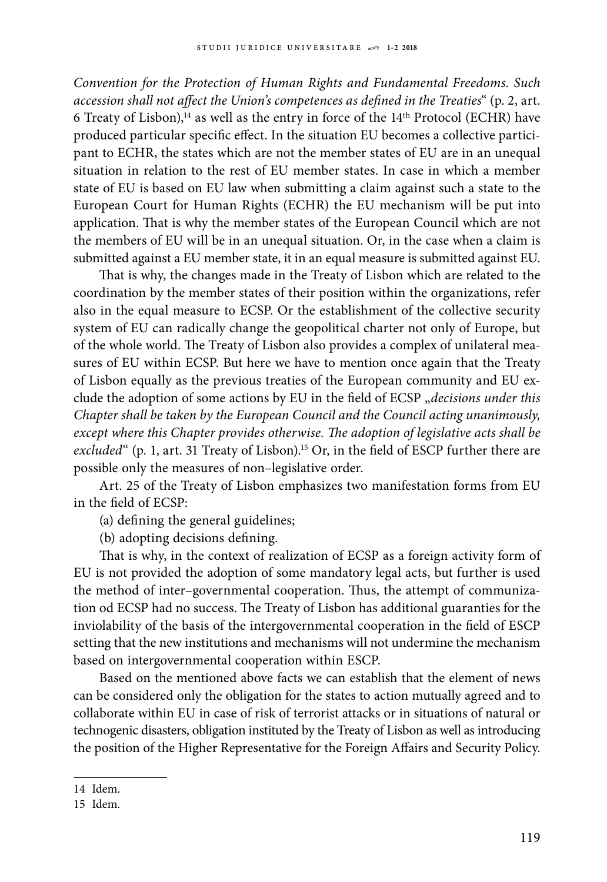*Convention for the Protection of Human Rights and Fundamental Freedoms. Such accession shall not affect the Union's competences as defined in the Treaties*" (p. 2, art. 6 Treaty of Lisbon),<sup>14</sup> as well as the entry in force of the  $14<sup>th</sup>$  Protocol (ECHR) have produced particular specific effect. In the situation EU becomes a collective participant to ECHR, the states which are not the member states of EU are in an unequal situation in relation to the rest of EU member states. In case in which a member state of EU is based on EU law when submitting a claim against such a state to the European Court for Human Rights (ECHR) the EU mechanism will be put into application. That is why the member states of the European Council which are not the members of EU will be in an unequal situation. Or, in the case when a claim is submitted against a EU member state, it in an equal measure is submitted against EU.

That is why, the changes made in the Treaty of Lisbon which are related to the coordination by the member states of their position within the organizations, refer also in the equal measure to ECSP. Or the establishment of the collective security system of EU can radically change the geopolitical charter not only of Europe, but of the whole world. The Treaty of Lisbon also provides a complex of unilateral measures of EU within ECSP. But here we have to mention once again that the Treaty of Lisbon equally as the previous treaties of the European community and EU exclude the adoption of some actions by EU in the field of ECSP "decisions under this *Chapter shall be taken by the European Council and the Council acting unanimously, except where this Chapter provides otherwise. The adoption of legislative acts shall be*  excluded<sup>"</sup> (p. 1, art. 31 Treaty of Lisbon).<sup>15</sup> Or, in the field of ESCP further there are possible only the measures of non–legislative order.

Art. 25 of the Treaty of Lisbon emphasizes two manifestation forms from EU in the field of ECSP:

(a) defining the general guidelines;

(b) adopting decisions defining.

That is why, in the context of realization of ECSP as a foreign activity form of EU is not provided the adoption of some mandatory legal acts, but further is used the method of inter–governmental cooperation. Thus, the attempt of communization od ECSP had no success. The Treaty of Lisbon has additional guaranties for the inviolability of the basis of the intergovernmental cooperation in the field of ESCP setting that the new institutions and mechanisms will not undermine the mechanism based on intergovernmental cooperation within ESCP.

Based on the mentioned above facts we can establish that the element of news can be considered only the obligation for the states to action mutually agreed and to collaborate within EU in case of risk of terrorist attacks or in situations of natural or technogenic disasters, obligation instituted by the Treaty of Lisbon as well as introducing the position of the Higher Representative for the Foreign Affairs and Security Policy.

<sup>14</sup> Idem.

<sup>15</sup> Idem.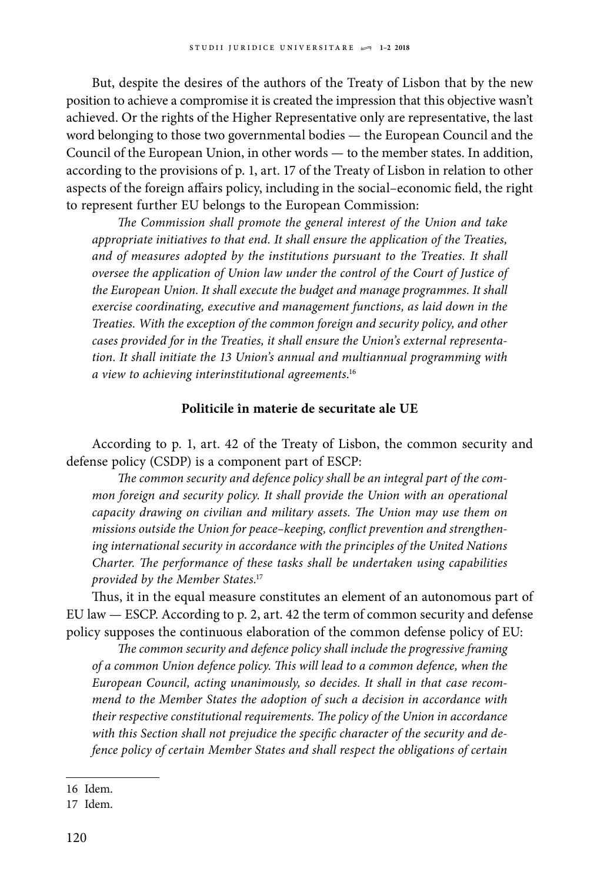But, despite the desires of the authors of the Treaty of Lisbon that by the new position to achieve a compromise it is created the impression that this objective wasn't achieved. Or the rights of the Higher Representative only are representative, the last word belonging to those two governmental bodies — the European Council and the Council of the European Union, in other words — to the member states. In addition, according to the provisions of p. 1, art. 17 of the Treaty of Lisbon in relation to other aspects of the foreign affairs policy, including in the social–economic field, the right to represent further EU belongs to the European Commission:

*The Commission shall promote the general interest of the Union and take appropriate initiatives to that end. It shall ensure the application of the Treaties, and of measures adopted by the institutions pursuant to the Treaties. It shall oversee the application of Union law under the control of the Court of Justice of the European Union. It shall execute the budget and manage programmes. It shall exercise coordinating, executive and management functions, as laid down in the Treaties. With the exception of the common foreign and security policy, and other cases provided for in the Treaties, it shall ensure the Union's external representation. It shall initiate the 13 Union's annual and multiannual programming with a view to achieving interinstitutional agreements*. 16

## **Politicile în materie de securitate ale UE**

According to p. 1, art. 42 of the Treaty of Lisbon, the common security and defense policy (CSDP) is a component part of ESCP:

*The common security and defence policy shall be an integral part of the common foreign and security policy. It shall provide the Union with an operational capacity drawing on civilian and military assets. The Union may use them on missions outside the Union for peace–keeping, conflict prevention and strengthening international security in accordance with the principles of the United Nations Charter. The performance of these tasks shall be undertaken using capabilities provided by the Member States*. 17

Thus, it in the equal measure constitutes an element of an autonomous part of EU law — ESCP. According to p. 2, art. 42 the term of common security and defense policy supposes the continuous elaboration of the common defense policy of EU:

*The common security and defence policy shall include the progressive framing of a common Union defence policy. This will lead to a common defence, when the European Council, acting unanimously, so decides. It shall in that case recommend to the Member States the adoption of such a decision in accordance with their respective constitutional requirements. The policy of the Union in accordance with this Section shall not prejudice the specific character of the security and defence policy of certain Member States and shall respect the obligations of certain* 

<sup>16</sup> Idem.

<sup>17</sup> Idem.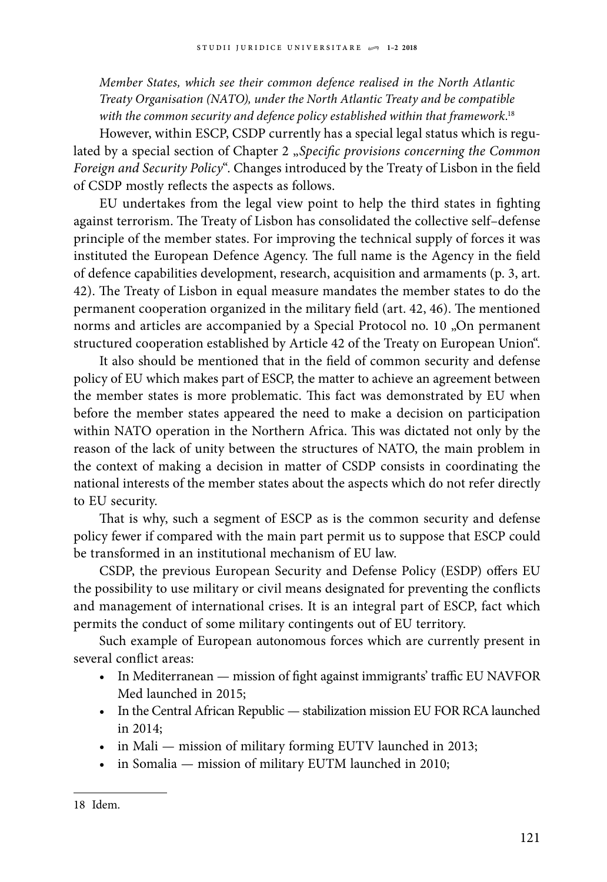*Member States, which see their common defence realised in the North Atlantic Treaty Organisation (NATO), under the North Atlantic Treaty and be compatible with the common security and defence policy established within that framework*. 18

However, within ESCP, CSDP currently has a special legal status which is regulated by a special section of Chapter 2 "Specific provisions concerning the Common *Foreign and Security Policy*". Changes introduced by the Treaty of Lisbon in the field of CSDP mostly reflects the aspects as follows.

EU undertakes from the legal view point to help the third states in fighting against terrorism. The Treaty of Lisbon has consolidated the collective self–defense principle of the member states. For improving the technical supply of forces it was instituted the European Defence Agency. The full name is the Agency in the field of defence capabilities development, research, acquisition and armaments (p. 3, art. 42). The Treaty of Lisbon in equal measure mandates the member states to do the permanent cooperation organized in the military field (art. 42, 46). The mentioned norms and articles are accompanied by a Special Protocol no. 10 "On permanent structured cooperation established by Article 42 of the Treaty on European Union".

It also should be mentioned that in the field of common security and defense policy of EU which makes part of ESCP, the matter to achieve an agreement between the member states is more problematic. This fact was demonstrated by EU when before the member states appeared the need to make a decision on participation within NATO operation in the Northern Africa. This was dictated not only by the reason of the lack of unity between the structures of NATO, the main problem in the context of making a decision in matter of CSDP consists in coordinating the national interests of the member states about the aspects which do not refer directly to EU security.

That is why, such a segment of ESCP as is the common security and defense policy fewer if compared with the main part permit us to suppose that ESCP could be transformed in an institutional mechanism of EU law.

CSDP, the previous European Security and Defense Policy (ESDP) offers EU the possibility to use military or civil means designated for preventing the conflicts and management of international crises. It is an integral part of ESCP, fact which permits the conduct of some military contingents out of EU territory.

Such example of European autonomous forces which are currently present in several conflict areas:

- In Mediterranean mission of fight against immigrants' traffic EU NAVFOR Med launched in 2015;
- In the Central African Republic stabilization mission EU FOR RCA launched in 2014;
- in Mali mission of military forming EUTV launched in 2013;
- in Somalia mission of military EUTM launched in 2010;

<sup>18</sup> Idem.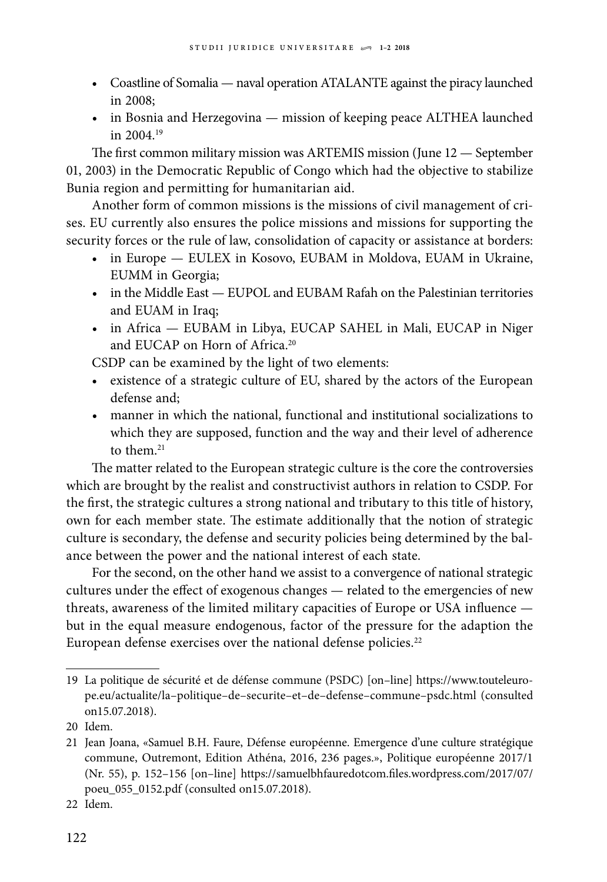- Coastline of Somalia naval operation ATALANTE against the piracy launched in 2008;
- in Bosnia and Herzegovina mission of keeping peace ALTHEA launched in  $2004^{19}$

The first common military mission was ARTEMIS mission (June 12 — September 01, 2003) in the Democratic Republic of Congo which had the objective to stabilize Bunia region and permitting for humanitarian aid.

Another form of common missions is the missions of civil management of crises. EU currently also ensures the police missions and missions for supporting the security forces or the rule of law, consolidation of capacity or assistance at borders:

- in Europe EULEX in Kosovo, EUBAM in Moldova, EUAM in Ukraine, EUMM in Georgia;
- in the Middle East EUPOL and EUBAM Rafah on the Palestinian territories and EUAM in Iraq;
- in Africa EUBAM in Libya, EUCAP SAHEL in Mali, EUCAP in Niger and EUCAP on Horn of Africa.<sup>20</sup>

CSDP can be examined by the light of two elements:

- existence of a strategic culture of EU, shared by the actors of the European defense and;
- • manner in which the national, functional and institutional socializations to which they are supposed, function and the way and their level of adherence to them  $21$

The matter related to the European strategic culture is the core the controversies which are brought by the realist and constructivist authors in relation to CSDP. For the first, the strategic cultures a strong national and tributary to this title of history, own for each member state. The estimate additionally that the notion of strategic culture is secondary, the defense and security policies being determined by the balance between the power and the national interest of each state.

For the second, on the other hand we assist to a convergence of national strategic cultures under the effect of exogenous changes — related to the emergencies of new threats, awareness of the limited military capacities of Europe or USA influence but in the equal measure endogenous, factor of the pressure for the adaption the European defense exercises over the national defense policies.<sup>22</sup>

<sup>19</sup> La politique de sécurité et de défense commune (PSDC) [on–line] [https://www.touteleuro](https://www.touteleurope.eu/actualite/la-politique-de-securite-et-de-defense-commune-psdc.html)[pe.eu/actualite/la–politique–de–securite–et–de–defense–commune–psdc.html](https://www.touteleurope.eu/actualite/la-politique-de-securite-et-de-defense-commune-psdc.html) (consulted on15.07.2018).

<sup>20</sup> Idem.

<sup>21</sup> Jean Joana, «Samuel B.H. Faure, Défense européenne. Emergence d'une culture stratégique commune, Outremont, Edition Athéna, 2016, 236 pages.», Politique européenne 2017/1 (Nr. 55), p. 152–156 [on–line] [https://samuelbhfauredotcom.files.wordpress.com/2017/07/](https://samuelbhfauredotcom.files.wordpress.com/2017/07/poeu_055_0152.pdf) [poeu\\_055\\_0152.pdf](https://samuelbhfauredotcom.files.wordpress.com/2017/07/poeu_055_0152.pdf) (consulted on15.07.2018).

<sup>22</sup> Idem.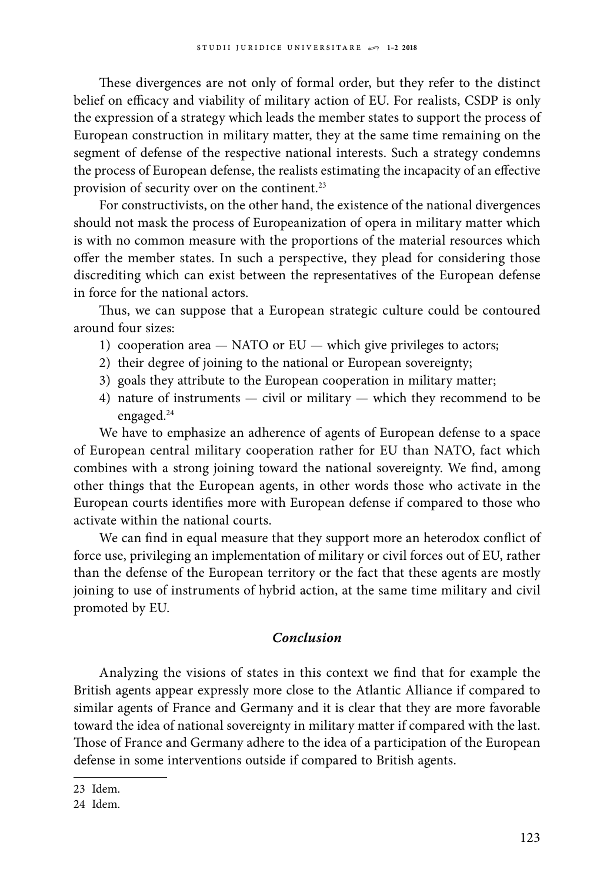These divergences are not only of formal order, but they refer to the distinct belief on efficacy and viability of military action of EU. For realists, CSDP is only the expression of a strategy which leads the member states to support the process of European construction in military matter, they at the same time remaining on the segment of defense of the respective national interests. Such a strategy condemns the process of European defense, the realists estimating the incapacity of an effective provision of security over on the continent.23

For constructivists, on the other hand, the existence of the national divergences should not mask the process of Europeanization of opera in military matter which is with no common measure with the proportions of the material resources which offer the member states. In such a perspective, they plead for considering those discrediting which can exist between the representatives of the European defense in force for the national actors.

Thus, we can suppose that a European strategic culture could be contoured around four sizes:

- 1) cooperation area NATO or EU which give privileges to actors;
- 2) their degree of joining to the national or European sovereignty;
- 3) goals they attribute to the European cooperation in military matter;
- 4) nature of instruments civil or military which they recommend to be engaged.<sup>24</sup>

We have to emphasize an adherence of agents of European defense to a space of European central military cooperation rather for EU than NATO, fact which combines with a strong joining toward the national sovereignty. We find, among other things that the European agents, in other words those who activate in the European courts identifies more with European defense if compared to those who activate within the national courts.

We can find in equal measure that they support more an heterodox conflict of force use, privileging an implementation of military or civil forces out of EU, rather than the defense of the European territory or the fact that these agents are mostly joining to use of instruments of hybrid action, at the same time military and civil promoted by EU.

### *Conclusion*

Analyzing the visions of states in this context we find that for example the British agents appear expressly more close to the Atlantic Alliance if compared to similar agents of France and Germany and it is clear that they are more favorable toward the idea of national sovereignty in military matter if compared with the last. Those of France and Germany adhere to the idea of a participation of the European defense in some interventions outside if compared to British agents.

<sup>23</sup> Idem.

<sup>24</sup> Idem.